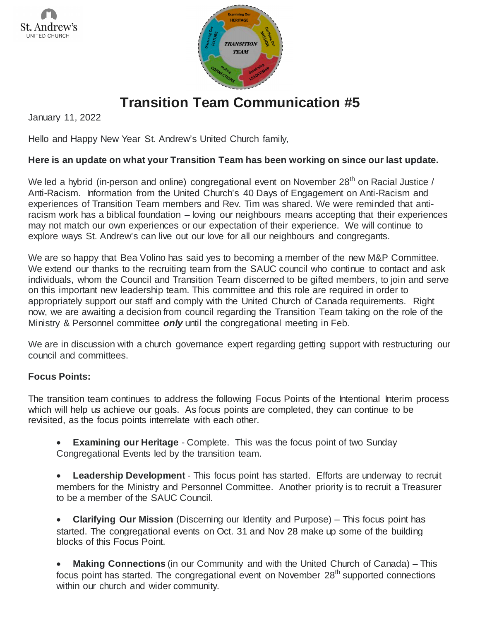



## **Transition Team Communication #5**

January 11, 2022

Hello and Happy New Year St. Andrew's United Church family,

## **Here is an update on what your Transition Team has been working on since our last update.**

We led a hybrid (in-person and online) congregational event on November  $28<sup>th</sup>$  on Racial Justice / Anti-Racism. Information from the United Church's 40 Days of Engagement on Anti-Racism and experiences of Transition Team members and Rev. Tim was shared. We were reminded that antiracism work has a biblical foundation – loving our neighbours means accepting that their experiences may not match our own experiences or our expectation of their experience. We will continue to explore ways St. Andrew's can live out our love for all our neighbours and congregants.

We are so happy that Bea Volino has said yes to becoming a member of the new M&P Committee. We extend our thanks to the recruiting team from the SAUC council who continue to contact and ask individuals, whom the Council and Transition Team discerned to be gifted members, to join and serve on this important new leadership team. This committee and this role are required in order to appropriately support our staff and comply with the United Church of Canada requirements. Right now, we are awaiting a decision from council regarding the Transition Team taking on the role of the Ministry & Personnel committee *only* until the congregational meeting in Feb.

We are in discussion with a church governance expert regarding getting support with restructuring our council and committees.

## **Focus Points:**

The transition team continues to address the following Focus Points of the Intentional Interim process which will help us achieve our goals. As focus points are completed, they can continue to be revisited, as the focus points interrelate with each other.

**Examining our Heritage** - Complete. This was the focus point of two Sunday Congregational Events led by the transition team.

**Leadership Development** - This focus point has started. Efforts are underway to recruit members for the Ministry and Personnel Committee. Another priority is to recruit a Treasurer to be a member of the SAUC Council.

• **Clarifying Our Mission** (Discerning our Identity and Purpose) – This focus point has started. The congregational events on Oct. 31 and Nov 28 make up some of the building blocks of this Focus Point.

**Making Connections** (in our Community and with the United Church of Canada) – This focus point has started. The congregational event on November 28<sup>th</sup> supported connections within our church and wider community.